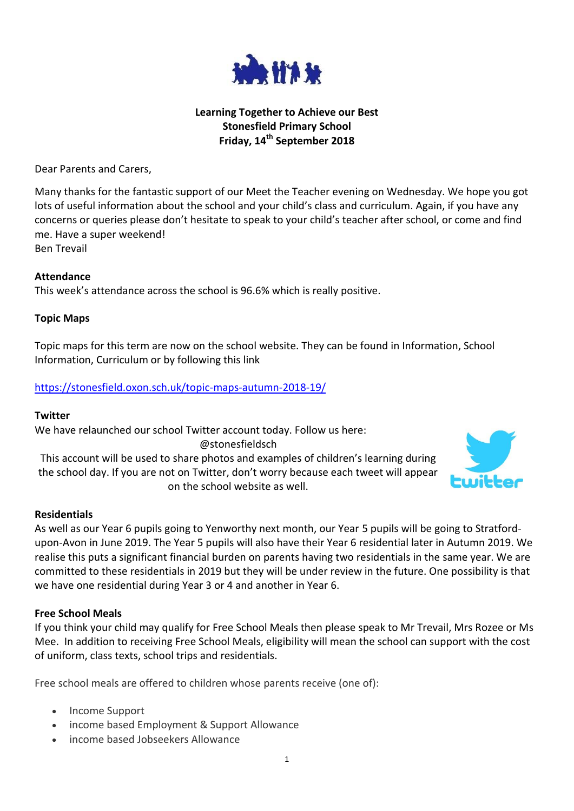

## **Learning Together to Achieve our Best Stonesfield Primary School Friday, 14th September 2018**

Dear Parents and Carers,

Many thanks for the fantastic support of our Meet the Teacher evening on Wednesday. We hope you got lots of useful information about the school and your child's class and curriculum. Again, if you have any concerns or queries please don't hesitate to speak to your child's teacher after school, or come and find me. Have a super weekend! Ben Trevail

### **Attendance**

This week's attendance across the school is 96.6% which is really positive.

### **Topic Maps**

Topic maps for this term are now on the school website. They can be found in Information, School Information, Curriculum or by following this link

### <https://stonesfield.oxon.sch.uk/topic-maps-autumn-2018-19/>

#### **Twitter**

We have relaunched our school Twitter account today. Follow us here: @stonesfieldsch This account will be used to share photos and examples of children's learning during the school day. If you are not on Twitter, don't worry because each tweet will appear on the school website as well.



#### **Residentials**

As well as our Year 6 pupils going to Yenworthy next month, our Year 5 pupils will be going to Stratfordupon-Avon in June 2019. The Year 5 pupils will also have their Year 6 residential later in Autumn 2019. We realise this puts a significant financial burden on parents having two residentials in the same year. We are committed to these residentials in 2019 but they will be under review in the future. One possibility is that we have one residential during Year 3 or 4 and another in Year 6.

#### **Free School Meals**

If you think your child may qualify for Free School Meals then please speak to Mr Trevail, Mrs Rozee or Ms Mee. In addition to receiving Free School Meals, eligibility will mean the school can support with the cost of uniform, class texts, school trips and residentials.

Free school meals are offered to children whose parents receive (one of):

- Income Support
- income based Employment & Support Allowance
- income based Jobseekers Allowance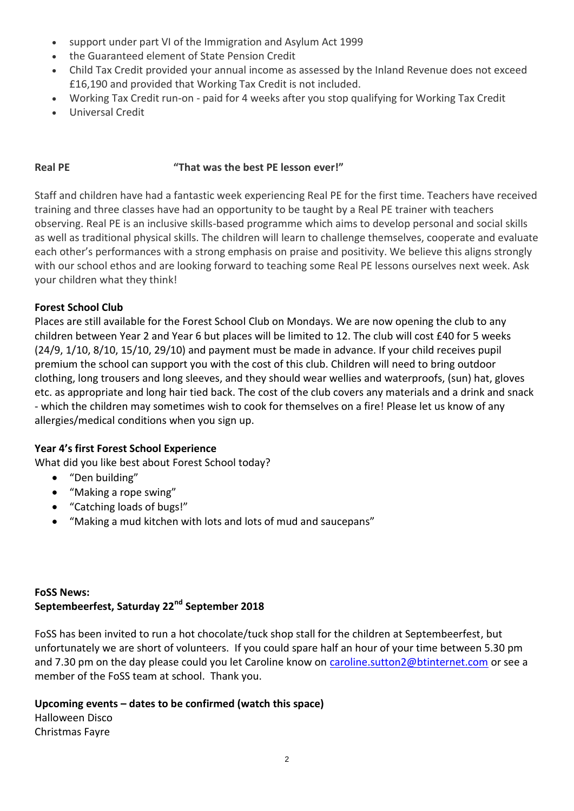- support under part VI of the Immigration and Asylum Act 1999
- the Guaranteed element of State Pension Credit
- Child Tax Credit provided your annual income as assessed by the Inland Revenue does not exceed £16,190 and provided that Working Tax Credit is not included.
- Working Tax Credit run-on paid for 4 weeks after you stop qualifying for Working Tax Credit
- Universal Credit

## **Real PE "That was the best PE lesson ever!"**

Staff and children have had a fantastic week experiencing Real PE for the first time. Teachers have received training and three classes have had an opportunity to be taught by a Real PE trainer with teachers observing. Real PE is an inclusive skills-based programme which aims to develop personal and social skills as well as traditional physical skills. The children will learn to challenge themselves, cooperate and evaluate each other's performances with a strong emphasis on praise and positivity. We believe this aligns strongly with our school ethos and are looking forward to teaching some Real PE lessons ourselves next week. Ask your children what they think!

## **Forest School Club**

Places are still available for the Forest School Club on Mondays. We are now opening the club to any children between Year 2 and Year 6 but places will be limited to 12. The club will cost £40 for 5 weeks (24/9, 1/10, 8/10, 15/10, 29/10) and payment must be made in advance. If your child receives pupil premium the school can support you with the cost of this club. Children will need to bring outdoor clothing, long trousers and long sleeves, and they should wear wellies and waterproofs, (sun) hat, gloves etc. as appropriate and long hair tied back. The cost of the club covers any materials and a drink and snack - which the children may sometimes wish to cook for themselves on a fire! Please let us know of any allergies/medical conditions when you sign up.

## **Year 4's first Forest School Experience**

What did you like best about Forest School today?

- "Den building"
- "Making a rope swing"
- "Catching loads of bugs!"
- "Making a mud kitchen with lots and lots of mud and saucepans"

## **FoSS News: Septembeerfest, Saturday 22nd September 2018**

FoSS has been invited to run a hot chocolate/tuck shop stall for the children at Septembeerfest, but unfortunately we are short of volunteers. If you could spare half an hour of your time between 5.30 pm and 7.30 pm on the day please could you let Caroline know on [caroline.sutton2@btinternet.com](mailto:caroline.sutton2@btinternet.com) or see a member of the FoSS team at school. Thank you.

## **Upcoming events – dates to be confirmed (watch this space)**

Halloween Disco Christmas Fayre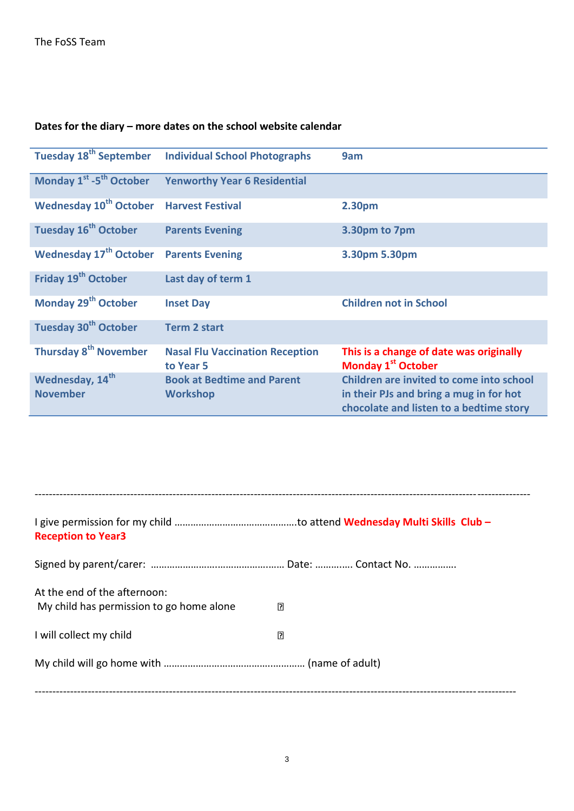# **Dates for the diary – more dates on the school website calendar**

| <b>Tuesday 18<sup>th</sup> September</b>        | <b>Individual School Photographs</b>                 | 9am                                                                                                                            |
|-------------------------------------------------|------------------------------------------------------|--------------------------------------------------------------------------------------------------------------------------------|
| Monday 1 <sup>st</sup> -5 <sup>th</sup> October | <b>Yenworthy Year 6 Residential</b>                  |                                                                                                                                |
| <b>Wednesday 10<sup>th</sup> October</b>        | <b>Harvest Festival</b>                              | 2.30pm                                                                                                                         |
| <b>Tuesday 16<sup>th</sup> October</b>          | <b>Parents Evening</b>                               | 3.30pm to 7pm                                                                                                                  |
| <b>Wednesday 17th October</b>                   | <b>Parents Evening</b>                               | 3.30pm 5.30pm                                                                                                                  |
| Friday 19 <sup>th</sup> October                 | Last day of term 1                                   |                                                                                                                                |
| Monday 29 <sup>th</sup> October                 | <b>Inset Day</b>                                     | <b>Children not in School</b>                                                                                                  |
| <b>Tuesday 30th October</b>                     | <b>Term 2 start</b>                                  |                                                                                                                                |
| Thursday 8 <sup>th</sup> November               | <b>Nasal Flu Vaccination Reception</b><br>to Year 5  | This is a change of date was originally<br>Monday 1 <sup>st</sup> October                                                      |
| Wednesday, 14 <sup>th</sup><br><b>November</b>  | <b>Book at Bedtime and Parent</b><br><b>Workshop</b> | Children are invited to come into school<br>in their PJs and bring a mug in for hot<br>chocolate and listen to a bedtime story |

| <b>Reception to Year3</b>                                                |   |
|--------------------------------------------------------------------------|---|
|                                                                          |   |
| At the end of the afternoon:<br>My child has permission to go home alone | ₽ |
| I will collect my child                                                  | Π |
|                                                                          |   |
|                                                                          |   |